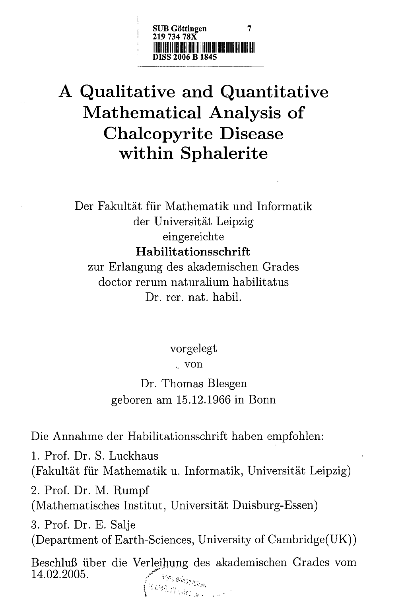

## A Qualitative and Quantitative Mathematical Analysis of Chalcopyrite Disease within Sphalerite

Der Fakultat fiir Mathematik und Informatik der Universitat Leipzig eingereichte Habilitationsschrift zur Erlangung des akademischen Grades doctor rerum naturalium habilitatus

Dr. rer. nat. habil.

vorgelegt .. von Dr. Thomas Blesgen geboren am 15.12.1966 in Bonn

Die Annahme der Habilitationsschrift haben empfohlen:

1. Prof. Dr. S. Luckhaus (Fakultat fiir Mathematik u. Informatik, Universitat Leipzig)

2. Prof. Dr. M. Rumpf (Mathematisches Institut, Universitat Duisburg-Essen)

3. Prof. Dr. E. Salje (Department of Earth-Sciences, University of Cambridge(UK))

Beschluß über die Verleihung des akademischen Grades vom 14.02.2005.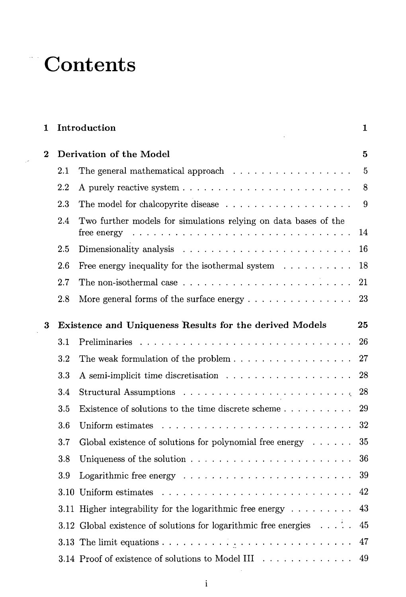## **Contents**

 $\overline{\phantom{a}}$ 

| 1        | Introduction |                                                                                                                                                               |                |  |  |  |
|----------|--------------|---------------------------------------------------------------------------------------------------------------------------------------------------------------|----------------|--|--|--|
| $\bf{2}$ |              | Derivation of the Model                                                                                                                                       |                |  |  |  |
|          | $2.1\,$      | The general mathematical approach $\ldots \ldots \ldots \ldots \ldots$                                                                                        | $\overline{5}$ |  |  |  |
|          | 2.2          |                                                                                                                                                               | 8              |  |  |  |
|          | 2.3          |                                                                                                                                                               | 9              |  |  |  |
|          | 2.4          | Two further models for simulations relying on data bases of the<br>free energy $\ldots \ldots \ldots \ldots \ldots \ldots \ldots \ldots \ldots \ldots \ldots$ | 14             |  |  |  |
|          | 2.5          |                                                                                                                                                               | 16             |  |  |  |
|          | 2.6          | Free energy inequality for the isothermal system $\dots \dots \dots$                                                                                          | 18             |  |  |  |
|          | 2.7          | The non-isothermal case $\dots \dots \dots \dots \dots \dots \dots \dots \dots$                                                                               | 21             |  |  |  |
|          | 2.8          | More general forms of the surface energy $\dots \dots \dots \dots \dots$                                                                                      | 23             |  |  |  |
| 3        |              | Existence and Uniqueness Results for the derived Models<br>25                                                                                                 |                |  |  |  |
|          | 3.1          |                                                                                                                                                               | 26             |  |  |  |
|          | 3.2          | The weak formulation of the problem $\dots \dots \dots \dots \dots \dots$                                                                                     | 27             |  |  |  |
|          | 3.3          |                                                                                                                                                               | 28             |  |  |  |
|          | 3.4          | Structural Assumptions $\ldots \ldots \ldots \ldots \ldots \ldots \ldots$                                                                                     | 28             |  |  |  |
|          | 3.5          |                                                                                                                                                               | 29             |  |  |  |
|          | 3.6          |                                                                                                                                                               | 32             |  |  |  |
|          | 3.7          | Global existence of solutions for polynomial free energy $\dots \dots$                                                                                        | 35             |  |  |  |
|          | 3.8          |                                                                                                                                                               | 36             |  |  |  |
|          | 3.9          | Logarithmic free energy $\ldots \ldots \ldots \ldots \ldots \ldots \ldots$                                                                                    | 39             |  |  |  |
|          |              |                                                                                                                                                               | 42             |  |  |  |
|          |              | 3.11 Higher integrability for the logarithmic free energy $\dots \dots \dots$                                                                                 | 43             |  |  |  |
|          |              | 3.12 Global existence of solutions for logarithmic free energies $\dots$ .                                                                                    | 45             |  |  |  |
|          |              |                                                                                                                                                               | 47             |  |  |  |
|          |              | 3.14 Proof of existence of solutions to Model III                                                                                                             | 49             |  |  |  |

 $\bar{z}$